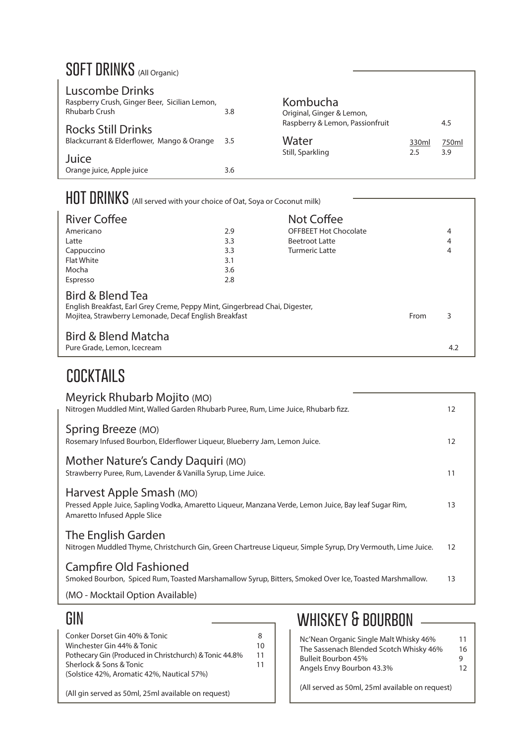### **SOFT DRINKS** (All Organic)

| Luscombe Drinks<br>Raspberry Crush, Ginger Beer, Sicilian Lemon,<br><b>Rhubarb Crush</b> | 3.8 | Kombucha<br>Original, Ginger & Lemon, |              |              |
|------------------------------------------------------------------------------------------|-----|---------------------------------------|--------------|--------------|
| <b>Rocks Still Drinks</b>                                                                |     | Raspberry & Lemon, Passionfruit       |              | 4.5          |
| Blackcurrant & Elderflower, Mango & Orange 3.5                                           |     | Water<br>Still, Sparkling             | 330ml<br>2.5 | 750ml<br>3.9 |
| Juice                                                                                    |     |                                       |              |              |
| Orange juice, Apple juice                                                                | 3.6 |                                       |              |              |

| HOT DRINKS (All served with your choice of Oat, Soya or Coconut milk)                                                                                    |     |                              |      |     |
|----------------------------------------------------------------------------------------------------------------------------------------------------------|-----|------------------------------|------|-----|
| <b>River Coffee</b>                                                                                                                                      |     | Not Coffee                   |      |     |
| Americano                                                                                                                                                | 2.9 | <b>OFFBEET Hot Chocolate</b> |      | 4   |
| Latte                                                                                                                                                    | 3.3 | <b>Beetroot Latte</b>        |      | 4   |
| Cappuccino                                                                                                                                               | 3.3 | Turmeric Latte               |      | 4   |
| <b>Flat White</b>                                                                                                                                        | 3.1 |                              |      |     |
| Mocha                                                                                                                                                    | 3.6 |                              |      |     |
| Espresso                                                                                                                                                 | 2.8 |                              |      |     |
| Bird & Blend Tea<br>English Breakfast, Earl Grey Creme, Peppy Mint, Gingerbread Chai, Digester,<br>Mojitea, Strawberry Lemonade, Decaf English Breakfast |     |                              | From | 3   |
| <b>Bird &amp; Blend Matcha</b><br>Pure Grade, Lemon, Icecream                                                                                            |     |                              |      | 4.2 |

### **cocktails**

| Meyrick Rhubarb Mojito (MO)<br>Nitrogen Muddled Mint, Walled Garden Rhubarb Puree, Rum, Lime Juice, Rhubarb fizz.                                                 | 12 |
|-------------------------------------------------------------------------------------------------------------------------------------------------------------------|----|
| Spring Breeze (MO)<br>Rosemary Infused Bourbon, Elderflower Liqueur, Blueberry Jam, Lemon Juice.                                                                  | 12 |
| Mother Nature's Candy Daquiri (MO)<br>Strawberry Puree, Rum, Lavender & Vanilla Syrup, Lime Juice.                                                                | 11 |
| Harvest Apple Smash (MO)<br>Pressed Apple Juice, Sapling Vodka, Amaretto Liqueur, Manzana Verde, Lemon Juice, Bay leaf Sugar Rim,<br>Amaretto Infused Apple Slice | 13 |
| The English Garden<br>Nitrogen Muddled Thyme, Christchurch Gin, Green Chartreuse Ligueur, Simple Syrup, Dry Vermouth, Lime Juice.                                 | 12 |
| <b>Campfire Old Fashioned</b><br>Smoked Bourbon, Spiced Rum, Toasted Marshamallow Syrup, Bitters, Smoked Over Ice, Toasted Marshmallow.                           | 13 |
| (MO - Mocktail Option Available)                                                                                                                                  |    |

#### **gin**

| Conker Dorset Gin 40% & Tonic                          | 8  |
|--------------------------------------------------------|----|
| Winchester Gin 44% & Tonic                             | 10 |
| Pothecary Gin (Produced in Christchurch) & Tonic 44.8% | 11 |
| Sherlock & Sons & Tonic                                | 11 |
| (Solstice 42%, Aromatic 42%, Nautical 57%)             |    |
|                                                        |    |

(All gin served as 50ml, 25ml available on request)

## **whiskey & bourbon**

|                                         | 11 |
|-----------------------------------------|----|
| Nc'Nean Organic Single Malt Whisky 46%  |    |
| The Sassenach Blended Scotch Whisky 46% | 16 |
| <b>Bulleit Bourbon 45%</b>              | g  |
| Angels Envy Bourbon 43.3%               | 12 |
|                                         |    |

٦

(All served as 50ml, 25ml available on request)